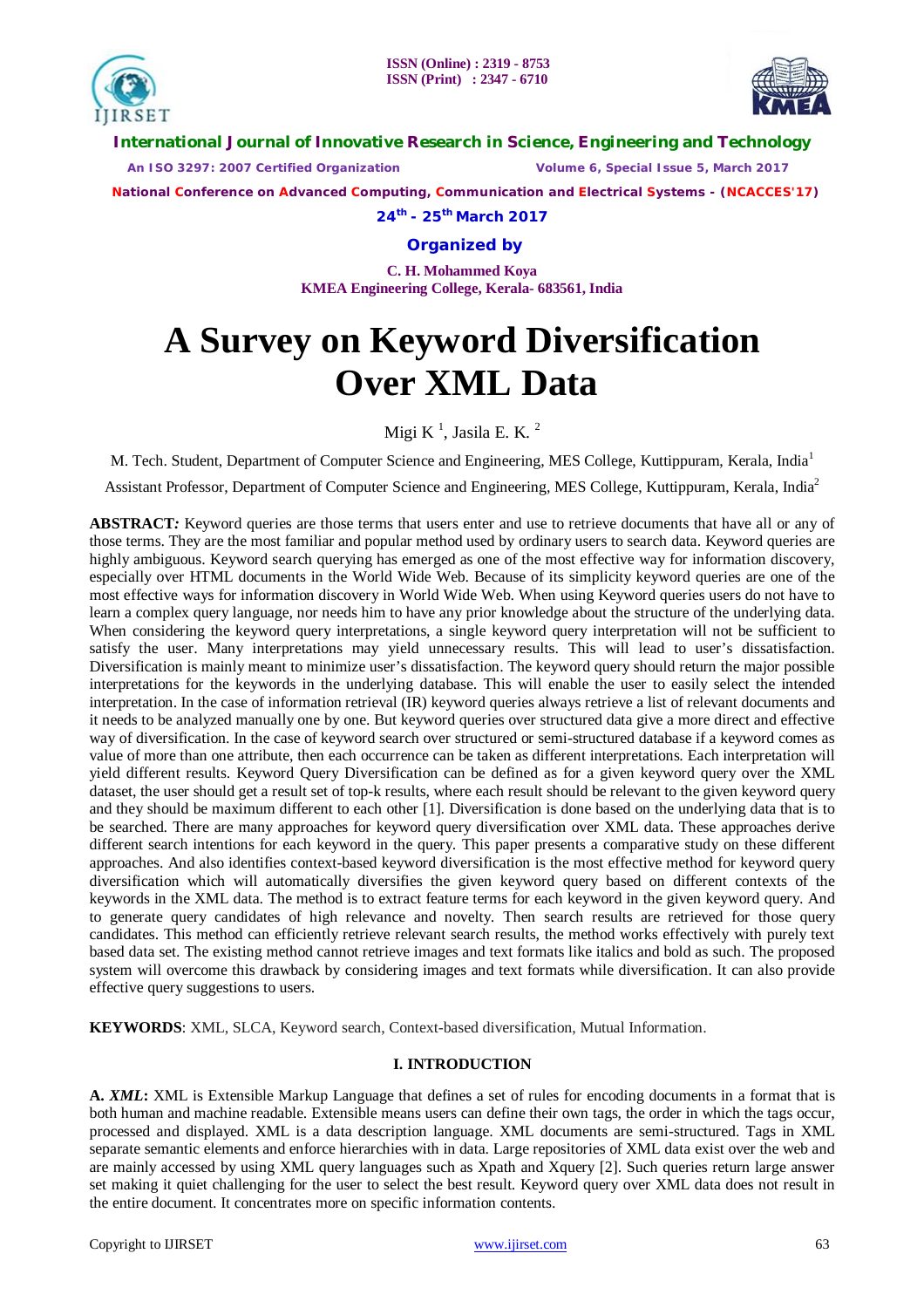



**International Journal of Innovative Research in Science, Engineering and Technology**

 *An ISO 3297: 2007 Certified Organization Volume 6, Special Issue 5, March 2017*

 **National Conference on Advanced Computing, Communication and Electrical Systems - (NCACCES'17)**

**24th - 25th March 2017**

**Organized by**

**C. H. Mohammed Koya KMEA Engineering College, Kerala- 683561, India** 

# **A Survey on Keyword Diversification Over XML Data**

Migi K $^1$ , Jasila E. K. $^2$ 

M. Tech. Student, Department of Computer Science and Engineering, MES College, Kuttippuram, Kerala, India<sup>1</sup>

Assistant Professor, Department of Computer Science and Engineering, MES College, Kuttippuram, Kerala, India<sup>2</sup>

**ABSTRACT***:* Keyword queries are those terms that users enter and use to retrieve documents that have all or any of those terms. They are the most familiar and popular method used by ordinary users to search data. Keyword queries are highly ambiguous. Keyword search querying has emerged as one of the most effective way for information discovery, especially over HTML documents in the World Wide Web. Because of its simplicity keyword queries are one of the most effective ways for information discovery in World Wide Web. When using Keyword queries users do not have to learn a complex query language, nor needs him to have any prior knowledge about the structure of the underlying data. When considering the keyword query interpretations, a single keyword query interpretation will not be sufficient to satisfy the user. Many interpretations may yield unnecessary results. This will lead to user's dissatisfaction. Diversification is mainly meant to minimize user's dissatisfaction. The keyword query should return the major possible interpretations for the keywords in the underlying database. This will enable the user to easily select the intended interpretation. In the case of information retrieval (IR) keyword queries always retrieve a list of relevant documents and it needs to be analyzed manually one by one. But keyword queries over structured data give a more direct and effective way of diversification. In the case of keyword search over structured or semi-structured database if a keyword comes as value of more than one attribute, then each occurrence can be taken as different interpretations. Each interpretation will yield different results. Keyword Query Diversification can be defined as for a given keyword query over the XML dataset, the user should get a result set of top-k results, where each result should be relevant to the given keyword query and they should be maximum different to each other [1]. Diversification is done based on the underlying data that is to be searched. There are many approaches for keyword query diversification over XML data. These approaches derive different search intentions for each keyword in the query. This paper presents a comparative study on these different approaches. And also identifies context-based keyword diversification is the most effective method for keyword query diversification which will automatically diversifies the given keyword query based on different contexts of the keywords in the XML data. The method is to extract feature terms for each keyword in the given keyword query. And to generate query candidates of high relevance and novelty. Then search results are retrieved for those query candidates. This method can efficiently retrieve relevant search results, the method works effectively with purely text based data set. The existing method cannot retrieve images and text formats like italics and bold as such. The proposed system will overcome this drawback by considering images and text formats while diversification. It can also provide effective query suggestions to users.

**KEYWORDS**: XML, SLCA, Keyword search, Context-based diversification, Mutual Information.

# **I. INTRODUCTION**

**A.** *XML***:** XML is Extensible Markup Language that defines a set of rules for encoding documents in a format that is both human and machine readable. Extensible means users can define their own tags, the order in which the tags occur, processed and displayed. XML is a data description language. XML documents are semi-structured. Tags in XML separate semantic elements and enforce hierarchies with in data. Large repositories of XML data exist over the web and are mainly accessed by using XML query languages such as Xpath and Xquery [2]. Such queries return large answer set making it quiet challenging for the user to select the best result. Keyword query over XML data does not result in the entire document. It concentrates more on specific information contents.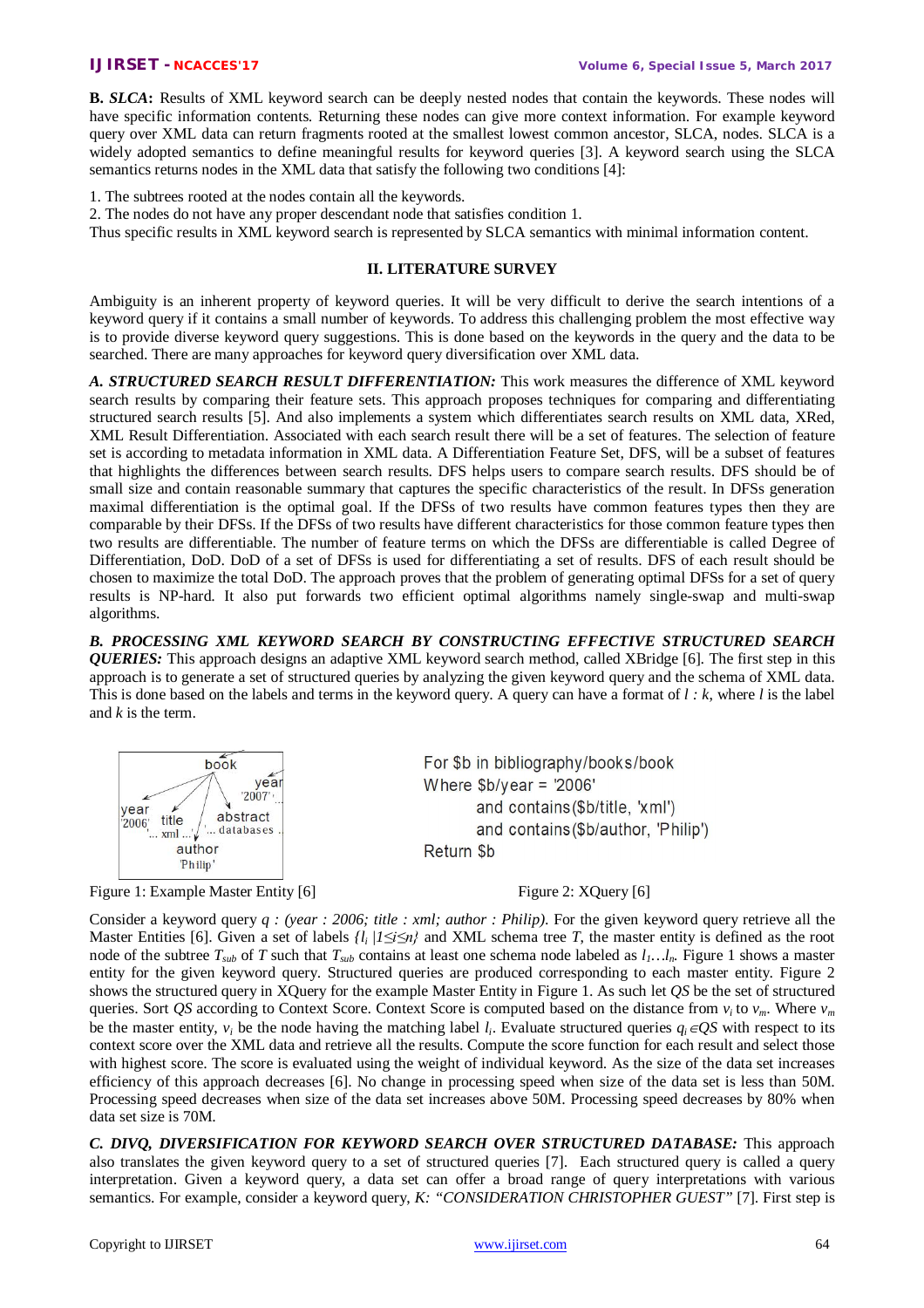**B.** *SLCA***:** Results of XML keyword search can be deeply nested nodes that contain the keywords. These nodes will have specific information contents. Returning these nodes can give more context information. For example keyword query over XML data can return fragments rooted at the smallest lowest common ancestor, SLCA, nodes. SLCA is a widely adopted semantics to define meaningful results for keyword queries [3]. A keyword search using the SLCA semantics returns nodes in the XML data that satisfy the following two conditions [4]:

1. The subtrees rooted at the nodes contain all the keywords.

2. The nodes do not have any proper descendant node that satisfies condition 1.

Thus specific results in XML keyword search is represented by SLCA semantics with minimal information content.

# **II. LITERATURE SURVEY**

Ambiguity is an inherent property of keyword queries. It will be very difficult to derive the search intentions of a keyword query if it contains a small number of keywords. To address this challenging problem the most effective way is to provide diverse keyword query suggestions. This is done based on the keywords in the query and the data to be searched. There are many approaches for keyword query diversification over XML data.

*A. STRUCTURED SEARCH RESULT DIFFERENTIATION:* This work measures the difference of XML keyword search results by comparing their feature sets. This approach proposes techniques for comparing and differentiating structured search results [5]. And also implements a system which differentiates search results on XML data, XRed, XML Result Differentiation. Associated with each search result there will be a set of features. The selection of feature set is according to metadata information in XML data. A Differentiation Feature Set, DFS, will be a subset of features that highlights the differences between search results. DFS helps users to compare search results. DFS should be of small size and contain reasonable summary that captures the specific characteristics of the result. In DFSs generation maximal differentiation is the optimal goal. If the DFSs of two results have common features types then they are comparable by their DFSs. If the DFSs of two results have different characteristics for those common feature types then two results are differentiable. The number of feature terms on which the DFSs are differentiable is called Degree of Differentiation, DoD. DoD of a set of DFSs is used for differentiating a set of results. DFS of each result should be chosen to maximize the total DoD. The approach proves that the problem of generating optimal DFSs for a set of query results is NP-hard. It also put forwards two efficient optimal algorithms namely single-swap and multi-swap algorithms.

*B. PROCESSING XML KEYWORD SEARCH BY CONSTRUCTING EFFECTIVE STRUCTURED SEARCH QUERIES:* This approach designs an adaptive XML keyword search method, called XBridge [6]. The first step in this approach is to generate a set of structured queries by analyzing the given keyword query and the schema of XML data. This is done based on the labels and terms in the keyword query. A query can have a format of *l : k*, where *l* is the label and *k* is the term.



Figure 1: Example Master Entity [6] Figure 2: XQuery [6]

Consider a keyword query *q : (year : 2006; title : xml; author : Philip)*. For the given keyword query retrieve all the Master Entities [6]. Given a set of labels  $\{l_i / 1 \le i \le n\}$  and XML schema tree *T*, the master entity is defined as the root node of the subtree  $T_{sub}$  of *T* such that  $T_{sub}$  contains at least one schema node labeled as  $l_1...l_n$ . Figure 1 shows a master entity for the given keyword query. Structured queries are produced corresponding to each master entity. Figure 2 shows the structured query in XQuery for the example Master Entity in Figure 1. As such let *QS* be the set of structured queries. Sort *QS* according to Context Score. Context Score is computed based on the distance from  $v_i$  to  $v_m$ . Where  $v_m$ be the master entity,  $v_i$  be the node having the matching label  $l_i$ . Evaluate structured queries  $q_i \in QS$  with respect to its context score over the XML data and retrieve all the results. Compute the score function for each result and select those with highest score. The score is evaluated using the weight of individual keyword. As the size of the data set increases efficiency of this approach decreases [6]. No change in processing speed when size of the data set is less than 50M. Processing speed decreases when size of the data set increases above 50M. Processing speed decreases by 80% when data set size is 70M.

*C. DIVQ, DIVERSIFICATION FOR KEYWORD SEARCH OVER STRUCTURED DATABASE:* This approach also translates the given keyword query to a set of structured queries [7]. Each structured query is called a query interpretation. Given a keyword query, a data set can offer a broad range of query interpretations with various semantics. For example, consider a keyword query, *K: "CONSIDERATION CHRISTOPHER GUEST"* [7]. First step is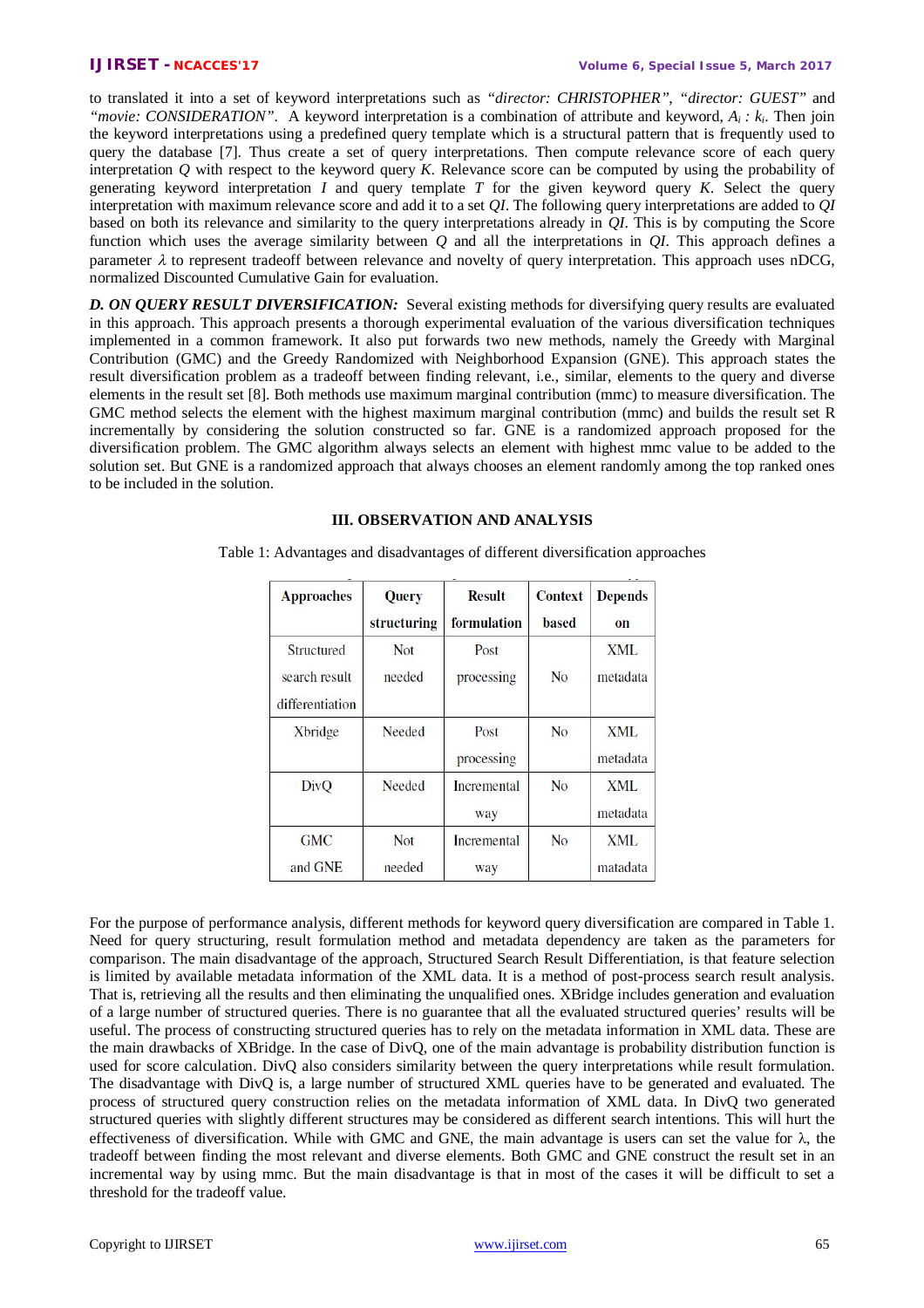to translated it into a set of keyword interpretations such as *"director: CHRISTOPHER"*, *"director: GUEST"* and *"movie: CONSIDERATION"*. A keyword interpretation is a combination of attribute and keyword, *Ai : k<sup>i</sup>* . Then join the keyword interpretations using a predefined query template which is a structural pattern that is frequently used to query the database [7]. Thus create a set of query interpretations. Then compute relevance score of each query interpretation *Q* with respect to the keyword query *K*. Relevance score can be computed by using the probability of generating keyword interpretation *I* and query template *T* for the given keyword query *K*. Select the query interpretation with maximum relevance score and add it to a set *QI*. The following query interpretations are added to *QI* based on both its relevance and similarity to the query interpretations already in *QI*. This is by computing the Score function which uses the average similarity between *Q* and all the interpretations in *QI*. This approach defines a parameter  $\lambda$  to represent tradeoff between relevance and novelty of query interpretation. This approach uses nDCG, normalized Discounted Cumulative Gain for evaluation.

*D. ON QUERY RESULT DIVERSIFICATION:* Several existing methods for diversifying query results are evaluated in this approach. This approach presents a thorough experimental evaluation of the various diversification techniques implemented in a common framework. It also put forwards two new methods, namely the Greedy with Marginal Contribution (GMC) and the Greedy Randomized with Neighborhood Expansion (GNE). This approach states the result diversification problem as a tradeoff between finding relevant, i.e., similar, elements to the query and diverse elements in the result set [8]. Both methods use maximum marginal contribution (mmc) to measure diversification. The GMC method selects the element with the highest maximum marginal contribution (mmc) and builds the result set R incrementally by considering the solution constructed so far. GNE is a randomized approach proposed for the diversification problem. The GMC algorithm always selects an element with highest mmc value to be added to the solution set. But GNE is a randomized approach that always chooses an element randomly among the top ranked ones to be included in the solution.

# **III. OBSERVATION AND ANALYSIS**

Table 1: Advantages and disadvantages of different diversification approaches

| <b>Approaches</b>                              | <b>Query</b><br>structuring | <b>Result</b><br>formulation | <b>Context</b><br><b>based</b> | <b>Depends</b><br>on   |
|------------------------------------------------|-----------------------------|------------------------------|--------------------------------|------------------------|
| Structured<br>search result<br>differentiation | Not<br>needed               | Post<br>processing           | N <sub>0</sub>                 | <b>XML</b><br>metadata |
| <b>X</b> bridge                                | Needed                      | Post<br>processing           | N <sub>0</sub>                 | XML<br>metadata        |
| DivO                                           | Needed                      | Incremental<br>way           | N <sub>0</sub>                 | XML<br>metadata        |
| <b>GMC</b><br>and GNE                          | Not<br>needed               | Incremental<br>way           | N <sub>0</sub>                 | XML<br>matadata        |

For the purpose of performance analysis, different methods for keyword query diversification are compared in Table 1. Need for query structuring, result formulation method and metadata dependency are taken as the parameters for comparison. The main disadvantage of the approach, Structured Search Result Differentiation, is that feature selection is limited by available metadata information of the XML data. It is a method of post-process search result analysis. That is, retrieving all the results and then eliminating the unqualified ones. XBridge includes generation and evaluation of a large number of structured queries. There is no guarantee that all the evaluated structured queries' results will be useful. The process of constructing structured queries has to rely on the metadata information in XML data. These are the main drawbacks of XBridge. In the case of DivQ, one of the main advantage is probability distribution function is used for score calculation. DivQ also considers similarity between the query interpretations while result formulation. The disadvantage with DivQ is, a large number of structured XML queries have to be generated and evaluated. The process of structured query construction relies on the metadata information of XML data. In DivQ two generated structured queries with slightly different structures may be considered as different search intentions. This will hurt the effectiveness of diversification. While with GMC and GNE, the main advantage is users can set the value for  $\lambda$ , the tradeoff between finding the most relevant and diverse elements. Both GMC and GNE construct the result set in an incremental way by using mmc. But the main disadvantage is that in most of the cases it will be difficult to set a threshold for the tradeoff value.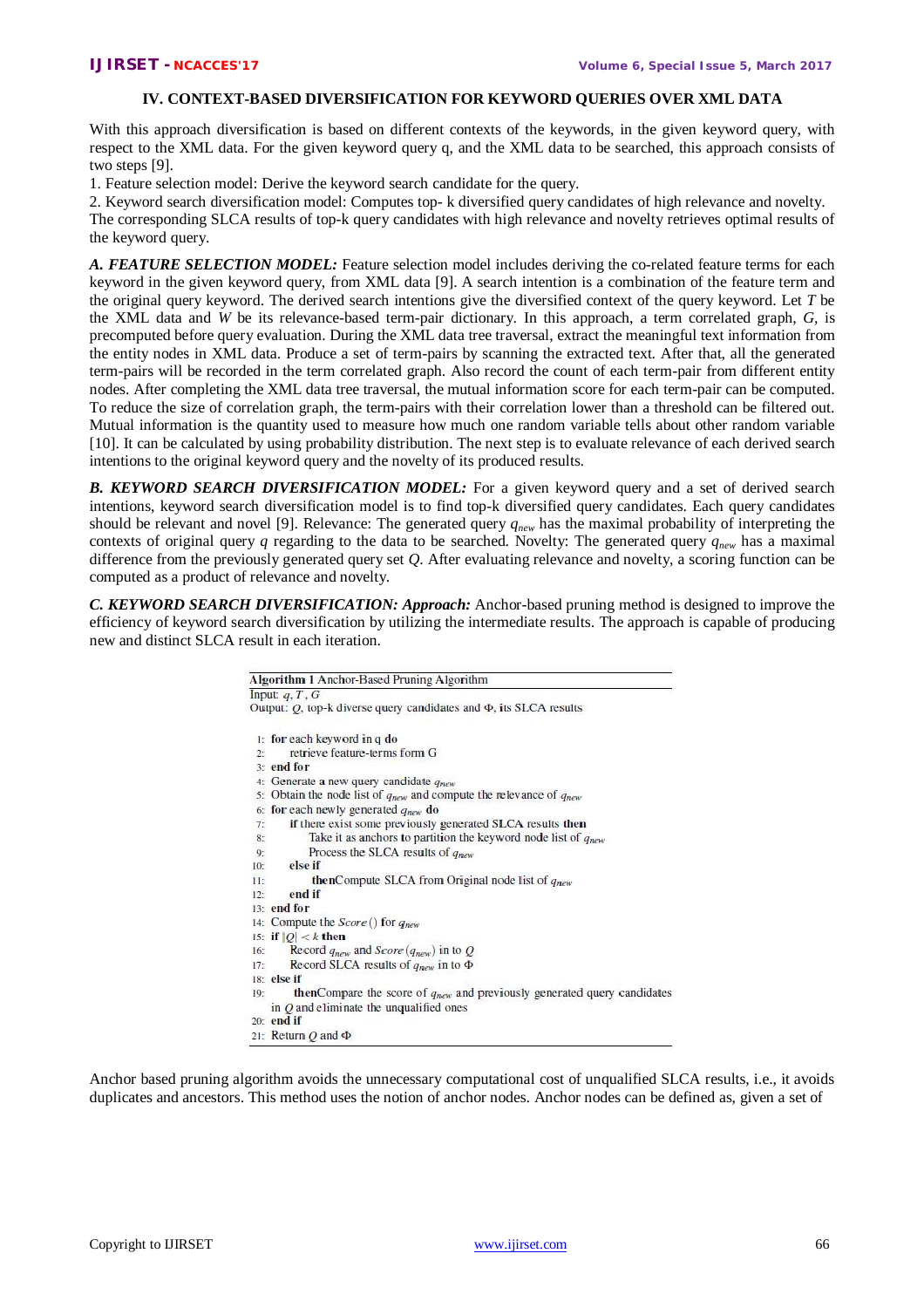# **IV. CONTEXT-BASED DIVERSIFICATION FOR KEYWORD QUERIES OVER XML DATA**

With this approach diversification is based on different contexts of the keywords, in the given keyword query, with respect to the XML data. For the given keyword query q, and the XML data to be searched, this approach consists of two steps [9].

1. Feature selection model: Derive the keyword search candidate for the query.

2. Keyword search diversification model: Computes top- k diversified query candidates of high relevance and novelty. The corresponding SLCA results of top-k query candidates with high relevance and novelty retrieves optimal results of the keyword query.

*A. FEATURE SELECTION MODEL:* Feature selection model includes deriving the co-related feature terms for each keyword in the given keyword query, from XML data [9]. A search intention is a combination of the feature term and the original query keyword. The derived search intentions give the diversified context of the query keyword. Let *T* be the XML data and *W* be its relevance-based term-pair dictionary. In this approach, a term correlated graph, *G,* is precomputed before query evaluation. During the XML data tree traversal, extract the meaningful text information from the entity nodes in XML data. Produce a set of term-pairs by scanning the extracted text. After that, all the generated term-pairs will be recorded in the term correlated graph. Also record the count of each term-pair from different entity nodes. After completing the XML data tree traversal, the mutual information score for each term-pair can be computed. To reduce the size of correlation graph, the term-pairs with their correlation lower than a threshold can be filtered out. Mutual information is the quantity used to measure how much one random variable tells about other random variable [10]. It can be calculated by using probability distribution. The next step is to evaluate relevance of each derived search intentions to the original keyword query and the novelty of its produced results.

*B. KEYWORD SEARCH DIVERSIFICATION MODEL:* For a given keyword query and a set of derived search intentions, keyword search diversification model is to find top-k diversified query candidates. Each query candidates should be relevant and novel [9]. Relevance: The generated query *qnew* has the maximal probability of interpreting the contexts of original query *q* regarding to the data to be searched. Novelty: The generated query *qnew* has a maximal difference from the previously generated query set *Q*. After evaluating relevance and novelty, a scoring function can be computed as a product of relevance and novelty.

*C. KEYWORD SEARCH DIVERSIFICATION: Approach:* Anchor-based pruning method is designed to improve the efficiency of keyword search diversification by utilizing the intermediate results. The approach is capable of producing new and distinct SLCA result in each iteration.

|         | Algorithm 1 Anchor-Based Pruning Algorithm                                           |
|---------|--------------------------------------------------------------------------------------|
|         | Input: $q, T, G$                                                                     |
|         | Output: $Q$ , top-k diverse query candidates and $\Phi$ , its SLCA results           |
|         | $\ln$ for each keyword in q do                                                       |
| 2.5     | retrieve feature-terms form G                                                        |
|         | 3: end for                                                                           |
|         | 4: Generate a new query candidate $q_{new}$                                          |
|         | 5. Obtain the node list of $q_{new}$ and compute the relevance of $q_{new}$          |
|         | 6: for each newly generated $q_{new}$ do                                             |
| 7:      | if there exist some previously generated SLCA results then                           |
| 8:      | Take it as anchors to partition the keyword node list of $q_{new}$                   |
| 9:      | Process the SLCA results of $q_{new}$                                                |
| 10:     | else if                                                                              |
| $\Pi$ : | <b>thenCompute SLCA</b> from Original node list of $q_{new}$                         |
| 12:     | end if                                                                               |
|         | 13: end for                                                                          |
|         | 14: Compute the Score () for q <sub>new</sub>                                        |
|         | 15: if $ O  < k$ then                                                                |
| 16:     | Record $q_{new}$ and Score $(q_{new})$ in to Q                                       |
| 17:     | Record SLCA results of $q_{new}$ in to $\Phi$                                        |
|         | $18:$ else if                                                                        |
| 19:     | <b>then</b> Compare the score of $q_{new}$ and previously generated query candidates |
|         | in $Q$ and eliminate the unqualified ones                                            |
|         | $20:$ end if                                                                         |
|         | 21: Return $Q$ and $\Phi$                                                            |

Anchor based pruning algorithm avoids the unnecessary computational cost of unqualified SLCA results, i.e., it avoids duplicates and ancestors. This method uses the notion of anchor nodes. Anchor nodes can be defined as, given a set of